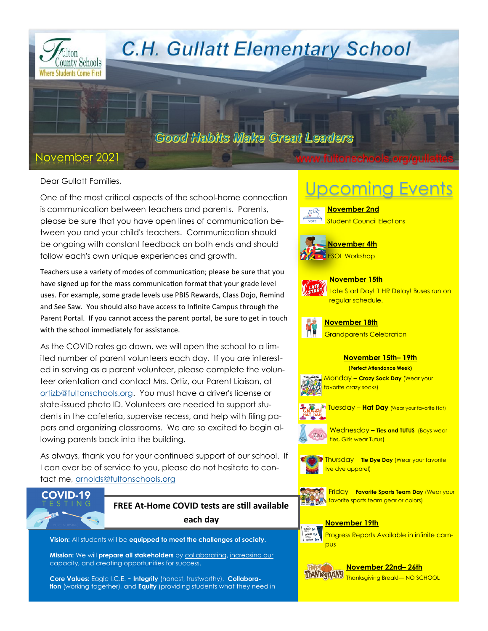

Dear Gullatt Families,

One of the most critical aspects of the school-home connection is communication between teachers and parents. Parents, please be sure that you have open lines of communication between you and your child's teachers. Communication should be ongoing with constant feedback on both ends and should follow each's own unique experiences and growth.

Teachers use a variety of modes of communication; please be sure that you have signed up for the mass communication format that your grade level uses. For example, some grade levels use PBIS Rewards, Class Dojo, Remind and See Saw. You should also have access to Infinite Campus through the Parent Portal. If you cannot access the parent portal, be sure to get in touch with the school immediately for assistance.

As the COVID rates go down, we will open the school to a limited number of parent volunteers each day. If you are interested in serving as a parent volunteer, please complete the volunteer orientation and contact Mrs. Ortiz, our Parent Liaison, at [ortizb@fultonschools.org.](mailto:ortizb@fultonschools.org) You must have a driver's license or state-issued photo ID. Volunteers are needed to support students in the cafeteria, supervise recess, and help with filing papers and organizing classrooms. We are so excited to begin allowing parents back into the building.

As always, thank you for your continued support of our school. If I can ever be of service to you, please do not hesitate to contact me, [arnolds@fultonschools.org](mailto:arnolds@fultonschools.org)



**FREE At-Home COVID tests are still available each day** 

**Vision:** All students will be **equipped to meet the challenges of society.**

**Mission:** We will **prepare all stakeholders** by collaborating, increasing our capacity, and creating opportunities for success.

**Core Values:** Eagle I.C.E. ~ **Integrity** (honest, trustworthy), **Collaboration** (working together), and **Equity** (providing students what they need in

# Upcoming Events

**November 2nd Student Council Elections** 





**November 15th**  Late Start Day! 1 HR Delay! Buses run on regular schedule.

**November 18th**  Grandparents Celebration

## **November 15th– 19th**

**(Perfect Attendance Week)**



Tuesday – **Hat Day** (Wear your favorite Hat)



Wednesday – **Ties and TUTUS** (Boys wear ties, Girls wear Tutus)



Thursday – **Tie Dye Day** (Wear your favorite tye dye apparel)







Progress Reports Available in infinite campus



**November 22nd– 26th**  ThaNkyyVANY Thanksgiving Break!— NO SCHOOL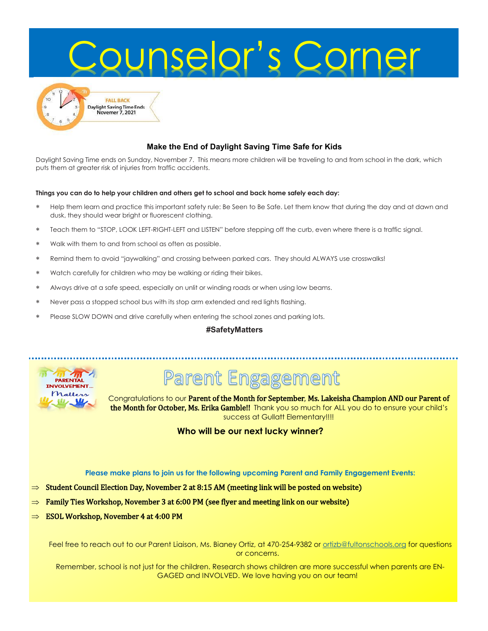

#### **Make the End of Daylight Saving Time Safe for Kids**

Daylight Saving Time ends on Sunday, November 7. This means more children will be traveling to and from school in the dark, which puts them at greater risk of injuries from traffic accidents.

#### **Things you can do to help your children and others get to school and back home safely each day:**

- Help them learn and practice this important safety rule: Be Seen to Be Safe. Let them know that during the day and at dawn and dusk, they should wear bright or fluorescent clothing.
- Teach them to "STOP, LOOK LEFT-RIGHT-LEFT and LISTEN" before stepping off the curb, even where there is a traffic signal.
- Walk with them to and from school as often as possible.
- Remind them to avoid "jaywalking" and crossing between parked cars. They should ALWAYS use crosswalks!
- Watch carefully for children who may be walking or riding their bikes.
- Always drive at a safe speed, especially on unlit or winding roads or when using low beams.
- Never pass a stopped school bus with its stop arm extended and red lights flashing.
- Please SLOW DOWN and drive carefully when entering the school zones and parking lots.

#### **#SafetyMatters**



# **Parent Engagement**

Congratulations to our Parent of the Month for September, Ms. Lakeisha Champion AND our Parent of the Month for October, Ms. Erika Gamble!! Thank you so much for ALL you do to ensure your child's success at Gullatt Elementary!!!!

**Who will be our next lucky winner?** 

**Please make plans to join us for the following upcoming Parent and Family Engagement Events:**

- $\Rightarrow$  Student Council Election Day, November 2 at 8:15 AM (meeting link will be posted on website)
- Family Ties Workshop, November 3 at 6:00 PM (see flyer and meeting link on our website)
- ESOL Workshop, November 4 at 4:00 PM

Feel free to reach out to our Parent Liaison, Ms. Bianey Ortiz, at 470-254-9382 or [ortizb@fultonschools.org](mailto:ortizb@fultonschools.org) for questions or concerns.

Remember, school is not just for the children. Research shows children are more successful when parents are EN-GAGED and INVOLVED. We love having you on our team!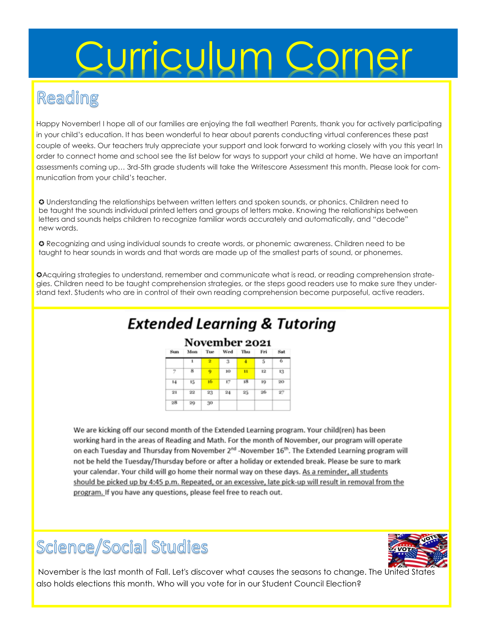# Curriculum Corner

# Reading

Happy November! I hope all of our families are enjoying the fall weather! Parents, thank you for actively participating in your child's education. It has been wonderful to hear about parents conducting virtual conferences these past couple of weeks. Our teachers truly appreciate your support and look forward to working closely with you this year! In order to connect home and school see the list below for ways to support your child at home. We have an important assessments coming up… 3rd-5th grade students will take the Writescore Assessment this month. Please look for communication from your child's teacher.

✪ Understanding the relationships between written letters and spoken sounds, or phonics. Children need to be taught the sounds individual printed letters and groups of letters make. Knowing the relationships between letters and sounds helps children to recognize familiar words accurately and automatically, and "decode" new words.

✪ Recognizing and using individual sounds to create words, or phonemic awareness. Children need to be taught to hear sounds in words and that words are made up of the smallest parts of sound, or phonemes.

✪Acquiring strategies to understand, remember and communicate what is read, or reading comprehension strategies. Children need to be taught comprehension strategies, or the steps good readers use to make sure they understand text. Students who are in control of their own reading comprehension become purposeful, active readers.

# **Extended Learning & Tutoring**

### November 2021

| Sun     | Mon     | Tue                     | Wed     | Thu | Fri | Sat |
|---------|---------|-------------------------|---------|-----|-----|-----|
|         | ı       | $\overline{\mathbf{2}}$ | 3       | 4   | 5   | 6   |
| 7       | 8       | 9                       | 10      | n   | 12  | 13  |
| 14      | 15      | 16                      | 17      | 18  | 19  | 20  |
| $^{21}$ | $^{22}$ | 23                      | $^{24}$ | 25  | 26  | 27  |
| 28      | 29      | 30                      |         |     |     |     |

We are kicking off our second month of the Extended Learning program. Your child(ren) has been working hard in the areas of Reading and Math. For the month of November, our program will operate on each Tuesday and Thursday from November 2<sup>nd</sup> -November 16<sup>th</sup>. The Extended Learning program will not be held the Tuesday/Thursday before or after a holiday or extended break. Please be sure to mark your calendar. Your child will go home their normal way on these days. As a reminder, all students should be picked up by 4:45 p.m. Repeated, or an excessive, late pick-up will result in removal from the program. If you have any questions, please feel free to reach out.

# Science/Social Studies



November is the last month of Fall. Let's discover what causes the seasons to change. The United States also holds elections this month. Who will you vote for in our Student Council Election?